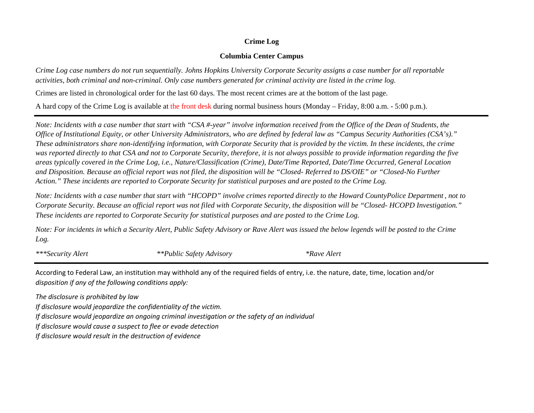## **Crime Log**

## **Columbia Center Campus**

*Crime Log case numbers do not run sequentially. Johns Hopkins University Corporate Security assigns a case number for all reportable activities, both criminal and non-criminal. Only case numbers generated for criminal activity are listed in the crime log.*

Crimes are listed in chronological order for the last 60 days. The most recent crimes are at the bottom of the last page.

A hard copy of the Crime Log is available at the front desk during normal business hours (Monday – Friday, 8:00 a.m. - 5:00 p.m.).

*Note: Incidents with a case number that start with "CSA #-year" involve information received from the Office of the Dean of Students, the Office of Institutional Equity, or other University Administrators, who are defined by federal law as "Campus Security Authorities (CSA's)." These administrators share non-identifying information, with Corporate Security that is provided by the victim. In these incidents, the crime was reported directly to that CSA and not to Corporate Security, therefore, it is not always possible to provide information regarding the five areas typically covered in the Crime Log, i.e., Nature/Classification (Crime), Date/Time Reported, Date/Time Occurred, General Location and Disposition. Because an official report was not filed, the disposition will be "Closed- Referred to DS/OIE" or "Closed-No Further Action." These incidents are reported to Corporate Security for statistical purposes and are posted to the Crime Log.*

*Note: Incidents with a case number that start with "HCOPD" involve crimes reported directly to the Howard CountyPolice Department , not to These incidents are reported to Corporate Security for statistical purposes and are posted to the Crime Log. Corporate Security. Because an official report was not filed with Corporate Security, the disposition will be "Closed- HCOPD Investigation."*

*Log. Note: For incidents in which a Security Alert, Public Safety Advisory or Rave Alert was issued the below legends will be posted to the Crime*

*\*\*\*Security Alert \*\*Public Safety Advisory \*Rave Alert*

According to Federal Law, an institution may withhold any of the required fields of entry, i.e. the nature, date, time, location and/or *disposition if any of the following conditions apply:* 

*The disclosure is prohibited by law* 

*If disclosure would jeopardize the confidentiality of the victim.* 

*If disclosure would jeopardize an ongoing criminal investigation or the safety of an individual* 

*If disclosure would cause a suspect to flee or evade detection* 

*If disclosure would result in the destruction of evidence*